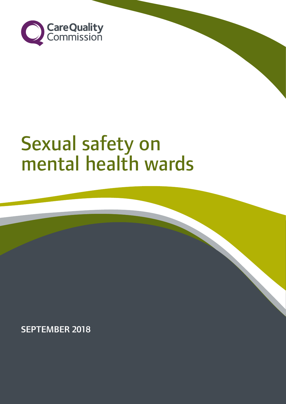

# Sexual safety on mental health wards

SEPTEMBER 2018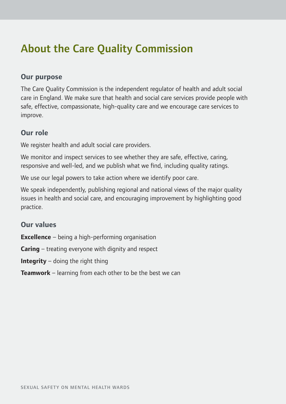# About the Care Quality Commission

### **Our purpose**

The Care Quality Commission is the independent regulator of health and adult social care in England. We make sure that health and social care services provide people with safe, effective, compassionate, high-quality care and we encourage care services to improve.

### **Our role**

We register health and adult social care providers.

We monitor and inspect services to see whether they are safe, effective, caring, responsive and well-led, and we publish what we find, including quality ratings.

We use our legal powers to take action where we identify poor care.

We speak independently, publishing regional and national views of the major quality issues in health and social care, and encouraging improvement by highlighting good practice.

### **Our values**

**Excellence** – being a high-performing organisation

**Caring** – treating everyone with dignity and respect

**Integrity** – doing the right thing

**Teamwork** – learning from each other to be the best we can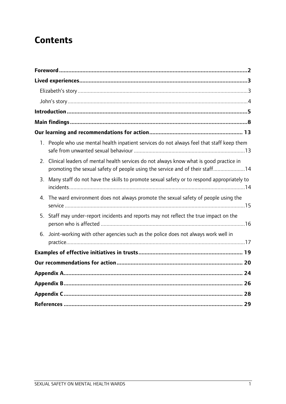### **Contents**

| $1_{\cdot}$ | People who use mental health inpatient services do not always feel that staff keep them                                                                                |  |
|-------------|------------------------------------------------------------------------------------------------------------------------------------------------------------------------|--|
| 2.          | Clinical leaders of mental health services do not always know what is good practice in<br>promoting the sexual safety of people using the service and of their staff14 |  |
| 3.          | Many staff do not have the skills to promote sexual safety or to respond appropriately to                                                                              |  |
|             | 4. The ward environment does not always promote the sexual safety of people using the                                                                                  |  |
|             | 5. Staff may under-report incidents and reports may not reflect the true impact on the                                                                                 |  |
| 6.          | Joint-working with other agencies such as the police does not always work well in                                                                                      |  |
|             |                                                                                                                                                                        |  |
|             |                                                                                                                                                                        |  |
|             |                                                                                                                                                                        |  |
|             |                                                                                                                                                                        |  |
|             |                                                                                                                                                                        |  |
|             |                                                                                                                                                                        |  |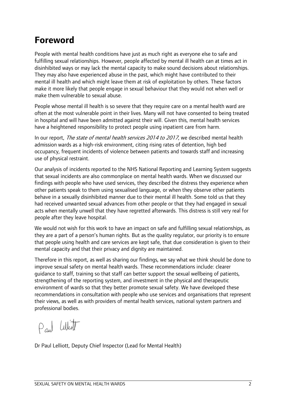### <span id="page-3-0"></span>**Foreword**

People with mental health conditions have just as much right as everyone else to safe and fulfilling sexual relationships. However, people affected by mental ill health can at times act in disinhibited ways or may lack the mental capacity to make sound decisions about relationships. They may also have experienced abuse in the past, which might have contributed to their mental ill health and which might leave them at risk of exploitation by others. These factors make it more likely that people engage in sexual behaviour that they would not when well or make them vulnerable to sexual abuse.

People whose mental ill health is so severe that they require care on a mental health ward are often at the most vulnerable point in their lives. Many will not have consented to being treated in hospital and will have been admitted against their will. Given this, mental health services have a heightened responsibility to protect people using inpatient care from harm.

In our report, The state of mental health services 2014 to 2017, we described mental health admission wards as a high-risk environment, citing rising rates of detention, high bed occupancy, frequent incidents of violence between patients and towards staff and increasing use of physical restraint.

Our analysis of incidents reported to the NHS National Reporting and Learning System suggests that sexual incidents are also commonplace on mental health wards. When we discussed our findings with people who have used services, they described the distress they experience when other patients speak to them using sexualised language, or when they observe other patients behave in a sexually disinhibited manner due to their mental ill health. Some told us that they had received unwanted sexual advances from other people or that they had engaged in sexual acts when mentally unwell that they have regretted afterwards. This distress is still very real for people after they leave hospital.

We would not wish for this work to have an impact on safe and fulfilling sexual relationships, as they are a part of a person's human rights. But as the quality regulator, our priority is to ensure that people using health and care services are kept safe, that due consideration is given to their mental capacity and that their privacy and dignity are maintained.

Therefore in this report, as well as sharing our findings, we say what we think should be done to improve sexual safety on mental health wards. These recommendations include: clearer guidance to staff, training so that staff can better support the sexual wellbeing of patients, strengthening of the reporting system, and investment in the physical and therapeutic environment of wards so that they better promote sexual safety. We have developed these recommendations in consultation with people who use services and organisations that represent their views, as well as with providers of mental health services, national system partners and professional bodies.

Paul White

Dr Paul Lelliott, Deputy Chief Inspector (Lead for Mental Health)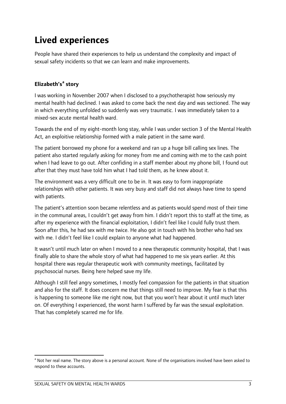### <span id="page-4-0"></span>**Lived experiences**

People have shared their experiences to help us understand the complexity and impact of sexual safety incidents so that we can learn and make improvements.

#### <span id="page-4-1"></span>**Elizabeth's[a](#page-24-0) story**

I was working in November 2007 when I disclosed to a psychotherapist how seriously my mental health had declined. I was asked to come back the next day and was sectioned. The way in which everything unfolded so suddenly was very traumatic. I was immediately taken to a mixed-sex acute mental health ward.

Towards the end of my eight-month long stay, while I was under section 3 of the Mental Health Act, an exploitive relationship formed with a male patient in the same ward.

The patient borrowed my phone for a weekend and ran up a huge bill calling sex lines. The patient also started regularly asking for money from me and coming with me to the cash point when I had leave to go out. After confiding in a staff member about my phone bill, I found out after that they must have told him what I had told them, as he knew about it.

The environment was a very difficult one to be in. It was easy to form inappropriate relationships with other patients. It was very busy and staff did not always have time to spend with patients.

The patient's attention soon became relentless and as patients would spend most of their time in the communal areas, I couldn't get away from him. I didn't report this to staff at the time, as after my experience with the financial exploitation, I didn't feel like I could fully trust them. Soon after this, he had sex with me twice. He also got in touch with his brother who had sex with me. I didn't feel like I could explain to anyone what had happened.

It wasn't until much later on when I moved to a new therapeutic community hospital, that I was finally able to share the whole story of what had happened to me six years earlier. At this hospital there was regular therapeutic work with community meetings, facilitated by psychosocial nurses. Being here helped save my life.

Although I still feel angry sometimes, I mostly feel compassion for the patients in that situation and also for the staff. It does concern me that things still need to improve. My fear is that this is happening to someone like me right now, but that you won't hear about it until much later on. Of everything I experienced, the worst harm I suffered by far was the sexual exploitation. That has completely scarred me for life.

<span id="page-4-2"></span>**<sup>.</sup>** <sup>a</sup> Not her real name. The story above is a personal account. None of the organisations involved have been asked to respond to these accounts.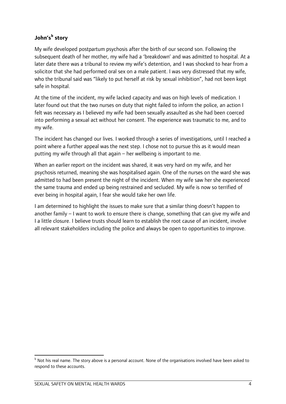#### <span id="page-5-0"></span>**John's[b](#page-4-2) story**

My wife developed postpartum psychosis after the birth of our second son. Following the subsequent death of her mother, my wife had a 'breakdown' and was admitted to hospital. At a later date there was a tribunal to review my wife's detention, and I was shocked to hear from a solicitor that she had performed oral sex on a male patient. I was very distressed that my wife, who the tribunal said was "likely to put herself at risk by sexual inhibition", had not been kept safe in hospital.

At the time of the incident, my wife lacked capacity and was on high levels of medication. I later found out that the two nurses on duty that night failed to inform the police, an action I felt was necessary as I believed my wife had been sexually assaulted as she had been coerced into performing a sexual act without her consent. The experience was traumatic to me, and to my wife.

The incident has changed our lives. I worked through a series of investigations, until I reached a point where a further appeal was the next step. I chose not to pursue this as it would mean putting my wife through all that again – her wellbeing is important to me.

When an earlier report on the incident was shared, it was very hard on my wife, and her psychosis returned, meaning she was hospitalised again. One of the nurses on the ward she was admitted to had been present the night of the incident. When my wife saw her she experienced the same trauma and ended up being restrained and secluded. My wife is now so terrified of ever being in hospital again, I fear she would take her own life.

I am determined to highlight the issues to make sure that a similar thing doesn't happen to another family – I want to work to ensure there is change, something that can give my wife and I a little closure. I believe trusts should learn to establish the root cause of an incident, involve all relevant stakeholders including the police and always be open to opportunities to improve.

<span id="page-5-1"></span> $\overline{\phantom{a}}$ b Not his real name. The story above is a personal account. None of the organisations involved have been asked to respond to these accounts.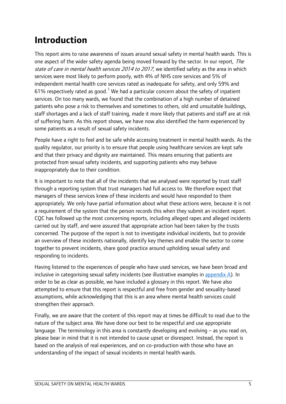### <span id="page-6-0"></span>**Introduction**

This report aims to raise awareness of issues around sexual safety in mental health wards. This is one aspect of the wider safety agenda being moved forward by the sector. In our report, The state of care in mental health services 2014 to 2017, we identified safety as the area in which services were most likely to perform poorly, with 4% of NHS core services and 5% of independent mental health core services rated as inadequate for safety, and only 59% and 6[1](#page-30-1)% respectively rated as good.<sup>1</sup> We had a particular concern about the safety of inpatient services. On too many wards, we found that the combination of a high number of detained patients who pose a risk to themselves and sometimes to others, old and unsuitable buildings, staff shortages and a lack of staff training, made it more likely that patients and staff are at risk of suffering harm. As this report shows, we have now also identified the harm experienced by some patients as a result of sexual safety incidents.

People have a right to feel and be safe while accessing treatment in mental health wards. As the quality regulator, our priority is to ensure that people using healthcare services are kept safe and that their privacy and dignity are maintained. This means ensuring that patients are protected from sexual safety incidents, and supporting patients who may behave inappropriately due to their condition.

It is important to note that all of the incidents that we analysed were reported by trust staff through a reporting system that trust managers had full access to. We therefore expect that managers of these services knew of these incidents and would have responded to them appropriately. We only have partial information about what these actions were, because it is not a requirement of the system that the person records this when they submit an incident report. CQC has followed up the most concerning reports, including alleged rapes and alleged incidents carried out by staff, and were assured that appropriate action had been taken by the trusts concerned. The purpose of the report is not to investigate individual incidents, but to provide an overview of these incidents nationally, identify key themes and enable the sector to come together to prevent incidents, share good practice around upholding sexual safety and responding to incidents.

Having listened to the experiences of people who have used services, we have been broad and inclusive in categorising sexual safety incidents (see illustrative examples in [appendix A\)](#page-25-1). In order to be as clear as possible, we have included a glossary in this report. We have also attempted to ensure that this report is respectful and free from gender and sexuality-based assumptions, while acknowledging that this is an area where mental health services could strengthen their approach.

Finally, we are aware that the content of this report may at times be difficult to read due to the nature of the subject area. We have done our best to be respectful and use appropriate language. The terminology in this area is constantly developing and evolving – as you read on, please bear in mind that it is not intended to cause upset or disrespect. Instead, the report is based on the analysis of real experiences, and on co-production with those who have an understanding of the impact of sexual incidents in mental health wards.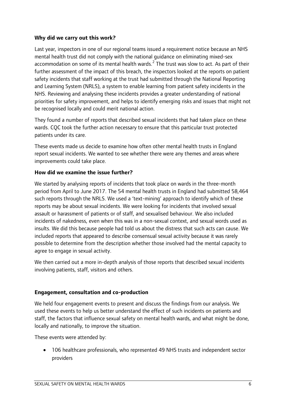#### **Why did we carry out this work?**

Last year, inspectors in one of our regional teams issued a requirement notice because an NHS mental health trust did not comply with the national guidance on eliminating mixed-sex accommodation on some of its mental health wards. $<sup>2</sup>$  $<sup>2</sup>$  $<sup>2</sup>$  The trust was slow to act. As part of their</sup> further assessment of the impact of this breach, the inspectors looked at the reports on patient safety incidents that staff working at the trust had submitted through the National Reporting and Learning System (NRLS), a system to enable learning from patient safety incidents in the NHS. Reviewing and analysing these incidents provides a greater understanding of national priorities for safety improvement, and helps to identify emerging risks and issues that might not be recognised locally and could merit national action.

They found a number of reports that described sexual incidents that had taken place on these wards. CQC took the further action necessary to ensure that this particular trust protected patients under its care.

These events made us decide to examine how often other mental health trusts in England report sexual incidents. We wanted to see whether there were any themes and areas where improvements could take place.

#### **How did we examine the issue further?**

We started by analysing reports of incidents that took place on wards in the three-month period from April to June 2017. The 54 mental health trusts in England had submitted 58,464 such reports through the NRLS. We used a 'text-mining' approach to identify which of these reports may be about sexual incidents. We were looking for incidents that involved sexual assault or harassment of patients or of staff, and sexualised behaviour. We also included incidents of nakedness, even when this was in a non-sexual context, and sexual words used as insults. We did this because people had told us about the distress that such acts can cause. We included reports that appeared to describe consensual sexual activity because it was rarely possible to determine from the description whether those involved had the mental capacity to agree to engage in sexual activity.

We then carried out a more in-depth analysis of those reports that described sexual incidents involving patients, staff, visitors and others.

#### **Engagement, consultation and co-production**

We held four engagement events to present and discuss the findings from our analysis. We used these events to help us better understand the effect of such incidents on patients and staff, the factors that influence sexual safety on mental health wards, and what might be done, locally and nationally, to improve the situation.

These events were attended by:

• 106 healthcare professionals, who represented 49 NHS trusts and independent sector providers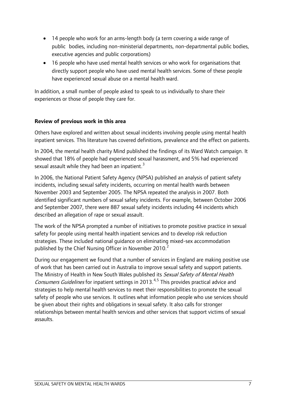- 14 people who work for an arms-length body (a term covering a wide range of public bodies, including non-ministerial departments, non-departmental public bodies, executive agencies and public corporations)
- 16 people who have used mental health services or who work for organisations that directly support people who have used mental health services. Some of these people have experienced sexual abuse on a mental health ward.

In addition, a small number of people asked to speak to us individually to share their experiences or those of people they care for.

#### **Review of previous work in this area**

Others have explored and written about sexual incidents involving people using mental health inpatient services. This literature has covered definitions, prevalence and the effect on patients.

In 2004, the mental health charity Mind published the findings of its Ward Watch campaign. It showed that 18% of people had experienced sexual harassment, and 5% had experienced sexual assault while they had been an inpatient.<sup>[3](#page-30-3)</sup>

In 2006, the National Patient Safety Agency (NPSA) published an analysis of patient safety incidents, including sexual safety incidents, occurring on mental health wards between November 2003 and September 2005. The NPSA repeated the analysis in 2007. Both identified significant numbers of sexual safety incidents. For example, between October 2006 and September 2007, there were 887 sexual safety incidents including 44 incidents which described an allegation of rape or sexual assault.

The work of the NPSA prompted a number of initiatives to promote positive practice in sexual safety for people using mental health inpatient services and to develop risk reduction strategies. These included national guidance on eliminating mixed-sex accommodation published by the Chief Nursing Officer in November 2010. $^2$ 

During our engagement we found that a number of services in England are making positive use of work that has been carried out in Australia to improve sexual safety and support patients. The Ministry of Health in New South Wales published its Sexual Safety of Mental Health Consumers Guidelines for inpatient settings in 2013.<sup>[4](#page-30-4),[5](#page-30-5)</sup> This provides practical advice and strategies to help mental health services to meet their responsibilities to promote the sexual safety of people who use services. It outlines what information people who use services should be given about their rights and obligations in sexual safety. It also calls for stronger relationships between mental health services and other services that support victims of sexual assaults.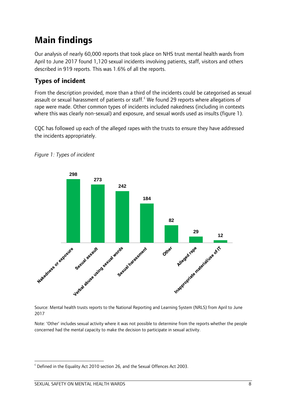### <span id="page-9-0"></span>**Main findings**

Our analysis of nearly 60,000 reports that took place on NHS trust mental health wards from April to June 2017 found 1,120 sexual incidents involving patients, staff, visitors and others described in 919 reports. This was 1.6% of all the reports.

### **Types of incident**

From the description provided, more than a third of the incidents could be categorised as sexual assault or sexual harassment of patients or staff.<sup>[c](#page-5-1)</sup> We found 29 reports where allegations of rape were made. Other common types of incidents included nakedness (including in contexts where this was clearly non-sexual) and exposure, and sexual words used as insults (figure 1).

CQC has followed up each of the alleged rapes with the trusts to ensure they have addressed the incidents appropriately.



*Figure 1: Types of incident*

Source: Mental health trusts reports to the National Reporting and Learning System (NRLS) from April to June 2017

Note: 'Other' includes sexual activity where it was not possible to determine from the reports whether the people concerned had the mental capacity to make the decision to participate in sexual activity.

<span id="page-9-1"></span>**<sup>.</sup>**  $\degree$  Defined in the Equality Act 2010 section 26, and the Sexual Offences Act 2003.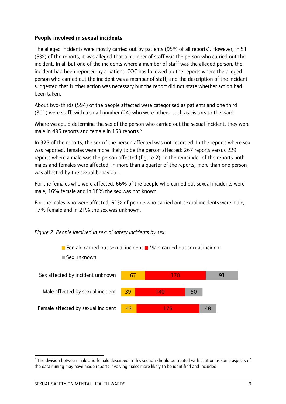#### **People involved in sexual incidents**

The alleged incidents were mostly carried out by patients (95% of all reports). However, in 51 (5%) of the reports, it was alleged that a member of staff was the person who carried out the incident. In all but one of the incidents where a member of staff was the alleged person, the incident had been reported by a patient. CQC has followed up the reports where the alleged person who carried out the incident was a member of staff, and the description of the incident suggested that further action was necessary but the report did not state whether action had been taken.

About two-thirds (594) of the people affected were categorised as patients and one third (301) were staff, with a small number (24) who were others, such as visitors to the ward.

Where we could determine the sex of the person who carried out the sexual incident, they were male in 495 reports an[d](#page-9-1) female in 153 reports.<sup>d</sup>

In 328 of the reports, the sex of the person affected was not recorded. In the reports where sex was reported, females were more likely to be the person affected: 267 reports versus 229 reports where a male was the person affected (figure 2). In the remainder of the reports both males and females were affected. In more than a quarter of the reports, more than one person was affected by the sexual behaviour.

For the females who were affected, 66% of the people who carried out sexual incidents were male, 16% female and in 18% the sex was not known.

For the males who were affected, 61% of people who carried out sexual incidents were male, 17% female and in 21% the sex was unknown.

 $\blacksquare$  Female carried out sexual incident  $\square$  Male carried out sexual incident





<span id="page-10-0"></span> $\overline{\phantom{a}}$ 

<sup>&</sup>lt;sup>d</sup> The division between male and female described in this section should be treated with caution as some aspects of the data mining may have made reports involving males more likely to be identified and included.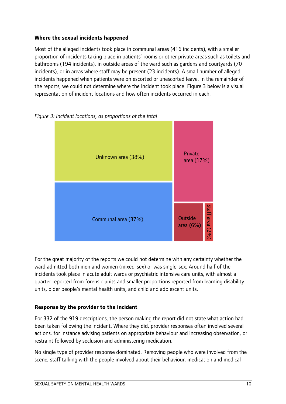#### **Where the sexual incidents happened**

Most of the alleged incidents took place in communal areas (416 incidents), with a smaller proportion of incidents taking place in patients' rooms or other private areas such as toilets and bathrooms (194 incidents), in outside areas of the ward such as gardens and courtyards (70 incidents), or in areas where staff may be present (23 incidents). A small number of alleged incidents happened when patients were on escorted or unescorted leave. In the remainder of the reports, we could not determine where the incident took place. Figure 3 below is a visual representation of incident locations and how often incidents occurred in each.



*Figure 3: Incident locations, as proportions of the total*

For the great majority of the reports we could not determine with any certainty whether the ward admitted both men and women (mixed-sex) or was single-sex. Around half of the incidents took place in acute adult wards or psychiatric intensive care units, with almost a quarter reported from forensic units and smaller proportions reported from learning disability units, older people's mental health units, and child and adolescent units.

#### **Response by the provider to the incident**

For 332 of the 919 descriptions, the person making the report did not state what action had been taken following the incident. Where they did, provider responses often involved several actions, for instance advising patients on appropriate behaviour and increasing observation, or restraint followed by seclusion and administering medication.

No single type of provider response dominated. Removing people who were involved from the scene, staff talking with the people involved about their behaviour, medication and medical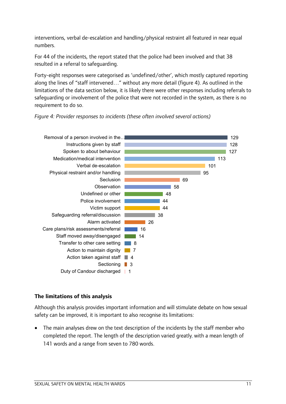interventions, verbal de-escalation and handling/physical restraint all featured in near equal numbers.

For 44 of the incidents, the report stated that the police had been involved and that 38 resulted in a referral to safeguarding.

Forty-eight responses were categorised as 'undefined/other', which mostly captured reporting along the lines of "staff intervened…" without any more detail (figure 4). As outlined in the limitations of the data section below, it is likely there were other responses including referrals to safeguarding or involvement of the police that were not recorded in the system, as there is no requirement to do so.

*Figure 4: Provider responses to incidents (these often involved several actions)* 



#### **The limitations of this analysis**

Although this analysis provides important information and will stimulate debate on how sexual safety can be improved, it is important to also recognise its limitations:

• The main analyses drew on the text description of the incidents by the staff member who completed the report. The length of the description varied greatly, with a mean length of 141 words and a range from seven to 780 words.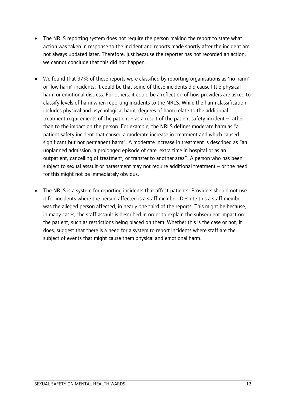- The NRLS reporting system does not require the person making the report to state what action was taken in response to the incident and reports made shortly after the incident are not always updated later. Therefore, just because the reporter has not recorded an action, we cannot conclude that this did not happen.
- We found that 97% of these reports were classified by reporting organisations as 'no harm' or 'low harm' incidents. It could be that some of these incidents did cause little physical harm or emotional distress. For others, it could be a reflection of how providers are asked to classify levels of harm when reporting incidents to the NRLS. While the harm classification includes physical and psychological harm, degrees of harm relate to the additional treatment requirements of the patient – as a result of the patient safety incident – rather than to the impact on the person. For example, the NRLS defines moderate harm as "a patient safety incident that caused a moderate increase in treatment and which caused significant but not permanent harm". A moderate increase in treatment is described as "an unplanned admission, a prolonged episode of care, extra time in hospital or as an outpatient, cancelling of treatment, or transfer to another area". A person who has been subject to sexual assault or harassment may not require additional treatment – or the need for this might not be immediately obvious.
- The NRLS is a system for reporting incidents that affect patients. Providers should not use it for incidents where the person affected is a staff member. Despite this a staff member was the alleged person affected, in nearly one third of the reports. This might be because, in many cases, the staff assault is described in order to explain the subsequent impact on the patient, such as restrictions being placed on them. Whether this is the case or not, it does, suggest that there is a need for a system to report incidents where staff are the subject of events that might cause them physical and emotional harm.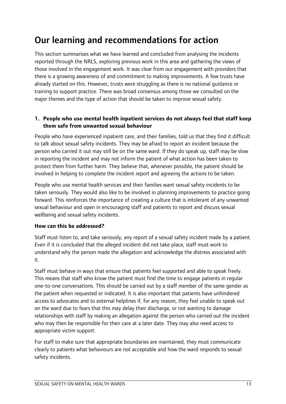### <span id="page-14-0"></span>Our learning and recommendations for action

This section summarises what we have learned and concluded from analysing the incidents reported through the NRLS, exploring previous work in this area and gathering the views of those involved in the engagement work. It was clear from our engagement with providers that there is a growing awareness of and commitment to making improvements. A few trusts have already started on this. However, trusts were struggling as there is no national guidance or training to support practice. There was broad consensus among those we consulted on the major themes and the type of action that should be taken to improve sexual safety.

#### <span id="page-14-1"></span>**1. People who use mental health inpatient services do not always feel that staff keep them safe from unwanted sexual behaviour**

People who have experienced inpatient care, and their families, told us that they find it difficult to talk about sexual safety incidents. They may be afraid to report an incident because the person who carried it out may still be on the same ward. If they do speak up, staff may be slow in reporting the incident and may not inform the patient of what action has been taken to protect them from further harm. They believe that, whenever possible, the patient should be involved in helping to complete the incident report and agreeing the actions to be taken.

People who use mental health services and their families want sexual safety incidents to be taken seriously. They would also like to be involved in planning improvements to practice going forward. This reinforces the importance of creating a culture that is intolerant of any unwanted sexual behaviour and open in encouraging staff and patients to report and discuss sexual wellbeing and sexual safety incidents.

#### **How can this be addressed?**

Staff must listen to, and take seriously, any report of a sexual safety incident made by a patient. Even if it is concluded that the alleged incident did not take place, staff must work to understand why the person made the allegation and acknowledge the distress associated with it.

Staff must behave in ways that ensure that patients feel supported and able to speak freely. This means that staff who know the patient must find the time to engage patients in regular one-to-one conversations. This should be carried out by a staff member of the same gender as the patient when requested or indicated. It is also important that patients have unhindered access to advocates and to external helplines if, for any reason, they feel unable to speak out on the ward due to fears that this may delay their discharge, or not wanting to damage relationships with staff by making an allegation against the person who carried out the incident who may then be responsible for their care at a later date. They may also need access to appropriate victim support.

For staff to make sure that appropriate boundaries are maintained, they must communicate clearly to patients what behaviours are not acceptable and how the ward responds to sexual safety incidents.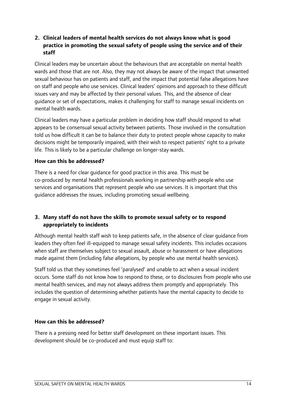#### <span id="page-15-0"></span>**2. Clinical leaders of mental health services do not always know what is good practice in promoting the sexual safety of people using the service and of their staff**

Clinical leaders may be uncertain about the behaviours that are acceptable on mental health wards and those that are not. Also, they may not always be aware of the impact that unwanted sexual behaviour has on patients and staff, and the impact that potential false allegations have on staff and people who use services. Clinical leaders' opinions and approach to these difficult issues vary and may be affected by their personal values. This, and the absence of clear guidance or set of expectations, makes it challenging for staff to manage sexual incidents on mental health wards.

Clinical leaders may have a particular problem in deciding how staff should respond to what appears to be consensual sexual activity between patients. Those involved in the consultation told us how difficult it can be to balance their duty to protect people whose capacity to make decisions might be temporarily impaired, with their wish to respect patients' right to a private life. This is likely to be a particular challenge on longer-stay wards.

#### **How can this be addressed?**

There is a need for clear guidance for good practice in this area. This must be co-produced by mental health professionals working in partnership with people who use services and organisations that represent people who use services. It is important that this guidance addresses the issues, including promoting sexual wellbeing.

#### <span id="page-15-1"></span>**3. Many staff do not have the skills to promote sexual safety or to respond appropriately to incidents**

Although mental health staff wish to keep patients safe, in the absence of clear guidance from leaders they often feel ill-equipped to manage sexual safety incidents. This includes occasions when staff are themselves subject to sexual assault, abuse or harassment or have allegations made against them (including false allegations, by people who use mental health services).

Staff told us that they sometimes feel 'paralysed' and unable to act when a sexual incident occurs. Some staff do not know how to respond to these, or to disclosures from people who use mental health services, and may not always address them promptly and appropriately. This includes the question of determining whether patients have the mental capacity to decide to engage in sexual activity.

#### **How can this be addressed?**

There is a pressing need for better staff development on these important issues. This development should be co-produced and must equip staff to: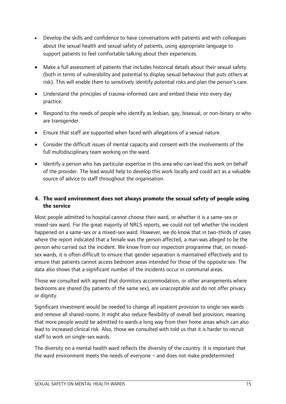- Develop the skills and confidence to have conversations with patients and with colleagues about the sexual health and sexual safety of patients, using appropriate language to support patients to feel comfortable talking about their experiences.
- Make a full assessment of patients that includes historical details about their sexual safety (both in terms of vulnerability and potential to display sexual behaviour that puts others at risk). This will enable them to sensitively identify potential risks and plan the person's care.
- Understand the principles of trauma-informed care and embed these into every day practice.
- Respond to the needs of people who identify as lesbian, gay, bisexual, or non-binary or who are transgender.
- Ensure that staff are supported when faced with allegations of a sexual nature.
- Consider the difficult issues of mental capacity and consent with the involvements of the full multidisciplinary team working on the ward.
- Identify a person who has particular expertise in this area who can lead this work on behalf of the provider. The lead would help to develop this work locally and could act as a valuable source of advice to staff throughout the organisation.

#### <span id="page-16-0"></span>**4. The ward environment does not always promote the sexual safety of people using the service**

Most people admitted to hospital cannot choose their ward, or whether it is a same-sex or mixed-sex ward. For the great majority of NRLS reports, we could not tell whether the incident happened on a same-sex or a mixed-sex ward. However, we do know that in two-thirds of cases where the report indicated that a female was the person affected, a man was alleged to be the person who carried out the incident. We know from our inspection programme that, on mixedsex wards, it is often difficult to ensure that gender separation is maintained effectively and to ensure that patients cannot access bedroom areas intended for those of the opposite sex. The data also shows that a significant number of the incidents occur in communal areas.

Those we consulted with agreed that dormitory accommodation, or other arrangements where bedrooms are shared (by patients of the same sex), are unacceptable and do not offer privacy or dignity.

Significant investment would be needed to change all inpatient provision to single-sex wards and remove all shared rooms. It might also reduce flexibility of overall bed provision, meaning that more people would be admitted to wards a long way from their home areas which can also lead to increased clinical risk. Also, those we consulted with told us that it is harder to recruit staff to work on single-sex wards.

The diversity on a mental health ward reflects the diversity of the country. It is important that the ward environment meets the needs of everyone – and does not make predetermined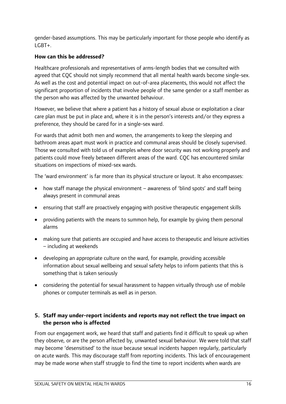gender-based assumptions. This may be particularly important for those people who identify as LGBT+.

#### **How can this be addressed?**

Healthcare professionals and representatives of arms-length bodies that we consulted with agreed that CQC should not simply recommend that all mental health wards become single-sex. As well as the cost and potential impact on out-of-area placements, this would not affect the significant proportion of incidents that involve people of the same gender or a staff member as the person who was affected by the unwanted behaviour.

However, we believe that where a patient has a history of sexual abuse or exploitation a clear care plan must be put in place and, where it is in the person's interests and/or they express a preference, they should be cared for in a single-sex ward.

For wards that admit both men and women, the arrangements to keep the sleeping and bathroom areas apart must work in practice and communal areas should be closely supervised. Those we consulted with told us of examples where door security was not working properly and patients could move freely between different areas of the ward. CQC has encountered similar situations on inspections of mixed-sex wards.

The 'ward environment' is far more than its physical structure or layout. It also encompasses:

- how staff manage the physical environment awareness of 'blind spots' and staff being always present in communal areas
- ensuring that staff are proactively engaging with positive therapeutic engagement skills
- providing patients with the means to summon help, for example by giving them personal alarms
- making sure that patients are occupied and have access to therapeutic and leisure activities – including at weekends
- developing an appropriate culture on the ward, for example, providing accessible information about sexual wellbeing and sexual safety helps to inform patients that this is something that is taken seriously
- considering the potential for sexual harassment to happen virtually through use of mobile phones or computer terminals as well as in person.

#### <span id="page-17-0"></span>**5. Staff may under-report incidents and reports may not reflect the true impact on the person who is affected**

From our engagement work, we heard that staff and patients find it difficult to speak up when they observe, or are the person affected by, unwanted sexual behaviour. We were told that staff may become 'desensitised' to the issue because sexual incidents happen regularly, particularly on acute wards. This may discourage staff from reporting incidents. This lack of encouragement may be made worse when staff struggle to find the time to report incidents when wards are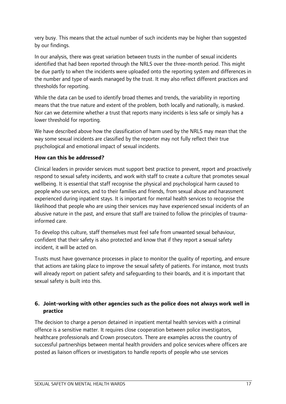very busy. This means that the actual number of such incidents may be higher than suggested by our findings.

In our analysis, there was great variation between trusts in the number of sexual incidents identified that had been reported through the NRLS over the three-month period. This might be due partly to when the incidents were uploaded onto the reporting system and differences in the number and type of wards managed by the trust. It may also reflect different practices and thresholds for reporting.

While the data can be used to identify broad themes and trends, the variability in reporting means that the true nature and extent of the problem, both locally and nationally, is masked. Nor can we determine whether a trust that reports many incidents is less safe or simply has a lower threshold for reporting.

We have described above how the classification of harm used by the NRLS may mean that the way some sexual incidents are classified by the reporter may not fully reflect their true psychological and emotional impact of sexual incidents.

#### **How can this be addressed?**

Clinical leaders in provider services must support best practice to prevent, report and proactively respond to sexual safety incidents, and work with staff to create a culture that promotes sexual wellbeing. It is essential that staff recognise the physical and psychological harm caused to people who use services, and to their families and friends, from sexual abuse and harassment experienced during inpatient stays. It is important for mental health services to recognise the likelihood that people who are using their services may have experienced sexual incidents of an abusive nature in the past, and ensure that staff are trained to follow the principles of traumainformed care.

To develop this culture, staff themselves must feel safe from unwanted sexual behaviour, confident that their safety is also protected and know that if they report a sexual safety incident, it will be acted on.

Trusts must have governance processes in place to monitor the quality of reporting, and ensure that actions are taking place to improve the sexual safety of patients. For instance, most trusts will already report on patient safety and safeguarding to their boards, and it is important that sexual safety is built into this.

#### <span id="page-18-0"></span>**6. Joint-working with other agencies such as the police does not always work well in practice**

The decision to charge a person detained in inpatient mental health services with a criminal offence is a sensitive matter. It requires close cooperation between police investigators, healthcare professionals and Crown prosecutors. There are examples across the country of successful partnerships between mental health providers and police services where officers are posted as liaison officers or investigators to handle reports of people who use services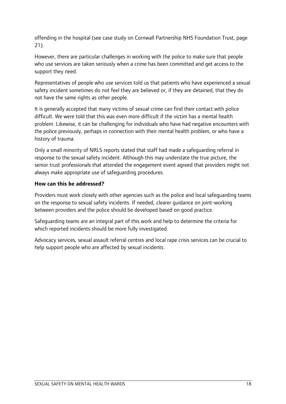offending in the hospital (see case study on Cornwall Partnership NHS Foundation Trust, page 21).

However, there are particular challenges in working with the police to make sure that people who use services are taken seriously when a crime has been committed and get access to the support they need.

Representatives of people who use services told us that patients who have experienced a sexual safety incident sometimes do not feel they are believed or, if they are detained, that they do not have the same rights as other people.

It is generally accepted that many victims of sexual crime can find their contact with police difficult. We were told that this was even more difficult if the victim has a mental health problem. Likewise, it can be challenging for individuals who have had negative encounters with the police previously, perhaps in connection with their mental health problem, or who have a history of trauma.

Only a small minority of NRLS reports stated that staff had made a safeguarding referral in response to the sexual safety incident. Although this may understate the true picture, the senior trust professionals that attended the engagement event agreed that providers might not always make appropriate use of safeguarding procedures.

#### **How can this be addressed?**

Providers must work closely with other agencies such as the police and local safeguarding teams on the response to sexual safety incidents. If needed, clearer guidance on joint-working between providers and the police should be developed based on good practice.

Safeguarding teams are an integral part of this work and help to determine the criteria for which reported incidents should be more fully investigated.

Advocacy services, sexual assault referral centres and local rape crisis services can be crucial to help support people who are affected by sexual incidents.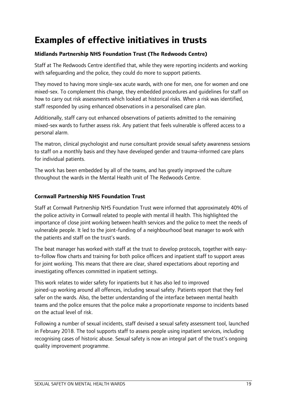### <span id="page-20-0"></span>**Examples of effective initiatives in trusts**

#### **Midlands Partnership NHS Foundation Trust (The Redwoods Centre)**

Staff at The Redwoods Centre identified that, while they were reporting incidents and working with safeguarding and the police, they could do more to support patients.

They moved to having more single-sex acute wards, with one for men, one for women and one mixed-sex. To complement this change, they embedded procedures and guidelines for staff on how to carry out risk assessments which looked at historical risks. When a risk was identified, staff responded by using enhanced observations in a personalised care plan.

Additionally, staff carry out enhanced observations of patients admitted to the remaining mixed-sex wards to further assess risk. Any patient that feels vulnerable is offered access to a personal alarm.

The matron, clinical psychologist and nurse consultant provide sexual safety awareness sessions to staff on a monthly basis and they have developed gender and trauma-informed care plans for individual patients.

The work has been embedded by all of the teams, and has greatly improved the culture throughout the wards in the Mental Health unit of The Redwoods Centre.

#### **Cornwall Partnership NHS Foundation Trust**

Staff at Cornwall Partnership NHS Foundation Trust were informed that approximately 40% of the police activity in Cornwall related to people with mental ill health. This highlighted the importance of close joint working between health services and the police to meet the needs of vulnerable people. It led to the joint-funding of a neighbourhood beat manager to work with the patients and staff on the trust's wards.

The beat manager has worked with staff at the trust to develop protocols, together with easyto-follow flow charts and training for both police officers and inpatient staff to support areas for joint working. This means that there are clear, shared expectations about reporting and investigating offences committed in inpatient settings.

This work relates to wider safety for inpatients but it has also led to improved joined-up working around all offences, including sexual safety. Patients report that they feel safer on the wards. Also, the better understanding of the interface between mental health teams and the police ensures that the police make a proportionate response to incidents based on the actual level of risk.

Following a number of sexual incidents, staff devised a sexual safety assessment tool, launched in February 2018. The tool supports staff to assess people using inpatient services, including recognising cases of historic abuse. Sexual safety is now an integral part of the trust's ongoing quality improvement programme.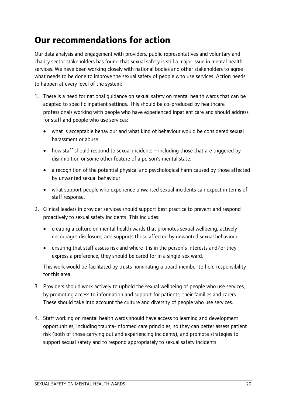### <span id="page-21-0"></span>**Our recommendations for action**

Our data analysis and engagement with providers, public representatives and voluntary and charity sector stakeholders has found that sexual safety is still a major issue in mental health services. We have been working closely with national bodies and other stakeholders to agree what needs to be done to improve the sexual safety of people who use services. Action needs to happen at every level of the system:

- 1. There is a need for national guidance on sexual safety on mental health wards that can be adapted to specific inpatient settings. This should be co-produced by healthcare professionals working with people who have experienced inpatient care and should address for staff and people who use services:
	- what is acceptable behaviour and what kind of behaviour would be considered sexual harassment or abuse.
	- how staff should respond to sexual incidents including those that are triggered by disinhibition or some other feature of a person's mental state.
	- a recognition of the potential physical and psychological harm caused by those affected by unwanted sexual behaviour.
	- what support people who experience unwanted sexual incidents can expect in terms of staff response.
- 2. Clinical leaders in provider services should support best practice to prevent and respond proactively to sexual safety incidents. This includes:
	- creating a culture on mental health wards that promotes sexual wellbeing, actively encourages disclosure, and supports those affected by unwanted sexual behaviour.
	- ensuring that staff assess risk and where it is in the person's interests and/or they express a preference, they should be cared for in a single-sex ward.

This work would be facilitated by trusts nominating a board member to hold responsibility for this area.

- 3. Providers should work actively to uphold the sexual wellbeing of people who use services, by promoting access to information and support for patients, their families and carers. These should take into account the culture and diversity of people who use services.
- 4. Staff working on mental health wards should have access to learning and development opportunities, including trauma-informed care principles, so they can better assess patient risk (both of those carrying out and experiencing incidents), and promote strategies to support sexual safety and to respond appropriately to sexual safety incidents.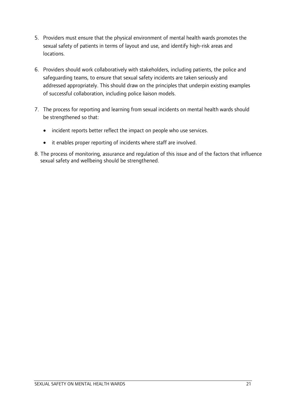- 5. Providers must ensure that the physical environment of mental health wards promotes the sexual safety of patients in terms of layout and use, and identify high-risk areas and locations.
- 6. Providers should work collaboratively with stakeholders, including patients, the police and safeguarding teams, to ensure that sexual safety incidents are taken seriously and addressed appropriately. This should draw on the principles that underpin existing examples of successful collaboration, including police liaison models.
- 7. The process for reporting and learning from sexual incidents on mental health wards should be strengthened so that:
	- incident reports better reflect the impact on people who use services.
	- it enables proper reporting of incidents where staff are involved.
- 8. The process of monitoring, assurance and regulation of this issue and of the factors that influence sexual safety and wellbeing should be strengthened.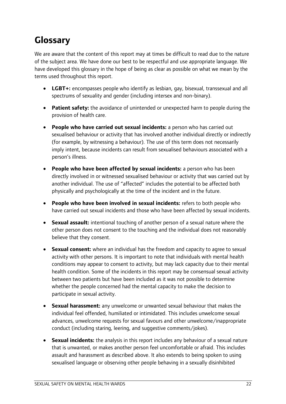### **Glossary**

We are aware that the content of this report may at times be difficult to read due to the nature of the subject area. We have done our best to be respectful and use appropriate language. We have developed this glossary in the hope of being as clear as possible on what we mean by the terms used throughout this report.

- **LGBT+:** encompasses people who identify as lesbian, gay, bisexual, transsexual and all spectrums of sexuality and gender (including intersex and non-binary).
- **Patient safety:** the avoidance of unintended or unexpected harm to people during the provision of health care.
- **People who have carried out sexual incidents:** a person who has carried out sexualised behaviour or activity that has involved another individual directly or indirectly (for example, by witnessing a behaviour). The use of this term does not necessarily imply intent, because incidents can result from sexualised behaviours associated with a person's illness.
- **People who have been affected by sexual incidents:** a person who has been directly involved in or witnessed sexualised behaviour or activity that was carried out by another individual. The use of "affected" includes the potential to be affected both physically and psychologically at the time of the incident and in the future.
- **People who have been involved in sexual incidents:** refers to both people who have carried out sexual incidents and those who have been affected by sexual incidents.
- **Sexual assault:** intentional touching of another person of a sexual nature where the other person does not consent to the touching and the individual does not reasonably believe that they consent.
- **Sexual consent:** where an individual has the freedom and capacity to agree to sexual activity with other persons. It is important to note that individuals with mental health conditions may appear to consent to activity, but may lack capacity due to their mental health condition. Some of the incidents in this report may be consensual sexual activity between two patients but have been included as it was not possible to determine whether the people concerned had the mental capacity to make the decision to participate in sexual activity.
- **Sexual harassment:** any unwelcome or unwanted sexual behaviour that makes the individual feel offended, humiliated or intimidated. This includes unwelcome sexual advances, unwelcome requests for sexual favours and other unwelcome/inappropriate conduct (including staring, leering, and suggestive comments/jokes).
- **Sexual incidents:** the analysis in this report includes any behaviour of a sexual nature that is unwanted, or makes another person feel uncomfortable or afraid. This includes assault and harassment as described above. It also extends to being spoken to using sexualised language or observing other people behaving in a sexually disinhibited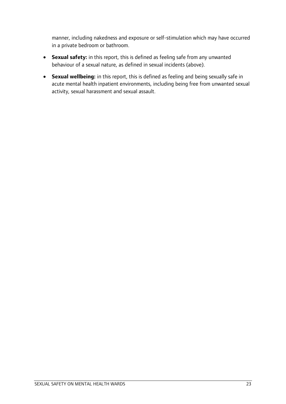manner, including nakedness and exposure or self-stimulation which may have occurred in a private bedroom or bathroom.

- **Sexual safety:** in this report, this is defined as feeling safe from any unwanted behaviour of a sexual nature, as defined in sexual incidents (above).
- <span id="page-24-0"></span>• **Sexual wellbeing:** in this report, this is defined as feeling and being sexually safe in acute mental health inpatient environments, including being free from unwanted sexual activity, sexual harassment and sexual assault.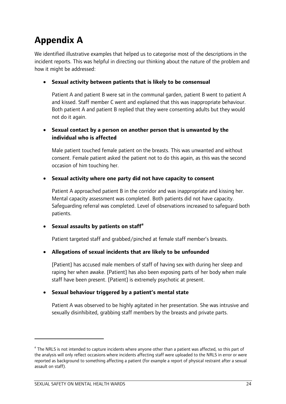## <span id="page-25-1"></span><span id="page-25-0"></span>**Appendix A**

We identified illustrative examples that helped us to categorise most of the descriptions in the incident reports. This was helpful in directing our thinking about the nature of the problem and how it might be addressed:

#### • **Sexual activity between patients that is likely to be consensual**

Patient A and patient B were sat in the communal garden, patient B went to patient A and kissed. Staff member C went and explained that this was inappropriate behaviour. Both patient A and patient B replied that they were consenting adults but they would not do it again.

#### • **Sexual contact by a person on another person that is unwanted by the individual who is affected**

Male patient touched female patient on the breasts. This was unwanted and without consent. Female patient asked the patient not to do this again, as this was the second occasion of him touching her.

#### • **Sexual activity where one party did not have capacity to consent**

Patient A approached patient B in the corridor and was inappropriate and kissing her. Mental capacity assessment was completed. Both patients did not have capacity. Safeguarding referral was completed. Level of observations increased to safeguard both patients.

#### • **Sexual assaults by patients on staff[e](#page-10-0)**

Patient targeted staff and grabbed/pinched at female staff member's breasts.

#### • **Allegations of sexual incidents that are likely to be unfounded**

[Patient] has accused male members of staff of having sex with during her sleep and raping her when awake. [Patient] has also been exposing parts of her body when male staff have been present. [Patient] is extremely psychotic at present.

#### • **Sexual behaviour triggered by a patient's mental state**

Patient A was observed to be highly agitated in her presentation. She was intrusive and sexually disinhibited, grabbing staff members by the breasts and private parts.

 $\overline{a}$ 

<sup>&</sup>lt;sup>e</sup> The NRLS is not intended to capture incidents where anyone other than a patient was affected, so this part of the analysis will only reflect occasions where incidents affecting staff were uploaded to the NRLS in error or were reported as background to something affecting a patient (for example a report of physical restraint after a sexual assault on staff).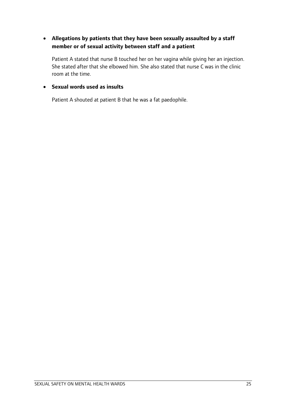#### • **Allegations by patients that they have been sexually assaulted by a staff member or of sexual activity between staff and a patient**

Patient A stated that nurse B touched her on her vagina while giving her an injection. She stated after that she elbowed him. She also stated that nurse C was in the clinic room at the time.

#### • **Sexual words used as insults**

Patient A shouted at patient B that he was a fat paedophile.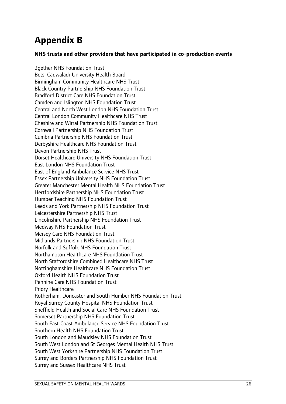### <span id="page-27-0"></span>**Appendix B**

#### **NHS trusts and other providers that have participated in co-production events**

2gether NHS Foundation Trust Betsi Cadwaladr University Health Board Birmingham Community Healthcare NHS Trust Black Country Partnership NHS Foundation Trust Bradford District Care NHS Foundation Trust Camden and Islington NHS Foundation Trust Central and North West London NHS Foundation Trust Central London Community Healthcare NHS Trust Cheshire and Wirral Partnership NHS Foundation Trust Cornwall Partnership NHS Foundation Trust Cumbria Partnership NHS Foundation Trust Derbyshire Healthcare NHS Foundation Trust Devon Partnership NHS Trust Dorset Healthcare University NHS Foundation Trust East London NHS Foundation Trust East of England Ambulance Service NHS Trust Essex Partnership University NHS Foundation Trust Greater Manchester Mental Health NHS Foundation Trust Hertfordshire Partnership NHS Foundation Trust Humber Teaching NHS Foundation Trust Leeds and York Partnership NHS Foundation Trust Leicestershire Partnership NHS Trust Lincolnshire Partnership NHS Foundation Trust Medway NHS Foundation Trust Mersey Care NHS Foundation Trust Midlands Partnership NHS Foundation Trust Norfolk and Suffolk NHS Foundation Trust Northampton Healthcare NHS Foundation Trust North Staffordshire Combined Healthcare NHS Trust Nottinghamshire Healthcare NHS Foundation Trust Oxford Health NHS Foundation Trust Pennine Care NHS Foundation Trust Priory Healthcare Rotherham, Doncaster and South Humber NHS Foundation Trust Royal Surrey County Hospital NHS Foundation Trust Sheffield Health and Social Care NHS Foundation Trust Somerset Partnership NHS Foundation Trust South East Coast Ambulance Service NHS Foundation Trust Southern Health NHS Foundation Trust South London and Maudsley NHS Foundation Trust South West London and St Georges Mental Health NHS Trust South West Yorkshire Partnership NHS Foundation Trust Surrey and Borders Partnership NHS Foundation Trust Surrey and Sussex Healthcare NHS Trust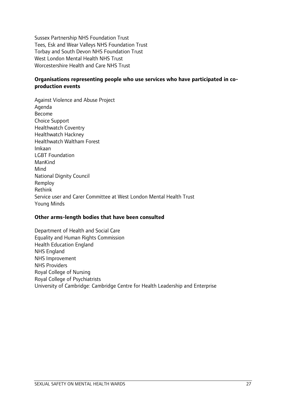Sussex Partnership NHS Foundation Trust Tees, Esk and Wear Valleys NHS Foundation Trust Torbay and South Devon NHS Foundation Trust West London Mental Health NHS Trust Worcestershire Health and Care NHS Trust

#### **Organisations representing people who use services who have participated in coproduction events**

Against Violence and Abuse Project Agenda Become Choice Support Healthwatch Coventry Healthwatch Hackney Healthwatch Waltham Forest Imkaan LGBT Foundation ManKind Mind National Dignity Council Remploy Rethink Service user and Carer Committee at West London Mental Health Trust Young Minds

#### **Other arms-length bodies that have been consulted**

Department of Health and Social Care Equality and Human Rights Commission Health Education England NHS England NHS Improvement NHS Providers Royal College of Nursing Royal College of Psychiatrists University of Cambridge: Cambridge Centre for Health Leadership and Enterprise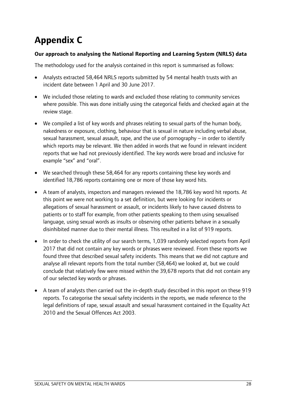# <span id="page-29-0"></span>**Appendix C**

#### **Our approach to analysing the National Reporting and Learning System (NRLS) data**

The methodology used for the analysis contained in this report is summarised as follows:

- Analysts extracted 58,464 NRLS reports submitted by 54 mental health trusts with an incident date between 1 April and 30 June 2017.
- We included those relating to wards and excluded those relating to community services where possible. This was done initially using the categorical fields and checked again at the review stage.
- We compiled a list of key words and phrases relating to sexual parts of the human body, nakedness or exposure, clothing, behaviour that is sexual in nature including verbal abuse, sexual harassment, sexual assault, rape, and the use of pornography – in order to identify which reports may be relevant. We then added in words that we found in relevant incident reports that we had not previously identified. The key words were broad and inclusive for example "sex" and "oral".
- We searched through these 58,464 for any reports containing these key words and identified 18,786 reports containing one or more of those key word hits.
- A team of analysts, inspectors and managers reviewed the 18,786 key word hit reports. At this point we were not working to a set definition, but were looking for incidents or allegations of sexual harassment or assault, or incidents likely to have caused distress to patients or to staff for example, from other patients speaking to them using sexualised language, using sexual words as insults or observing other patients behave in a sexually disinhibited manner due to their mental illness. This resulted in a list of 919 reports.
- In order to check the utility of our search terms, 1,039 randomly selected reports from April 2017 that did not contain any key words or phrases were reviewed. From these reports we found three that described sexual safety incidents. This means that we did not capture and analyse all relevant reports from the total number (58,464) we looked at, but we could conclude that relatively few were missed within the 39,678 reports that did not contain any of our selected key words or phrases.
- A team of analysts then carried out the in-depth study described in this report on these 919 reports. To categorise the sexual safety incidents in the reports, we made reference to the legal definitions of rape, sexual assault and sexual harassment contained in the Equality Act 2010 and the Sexual Offences Act 2003.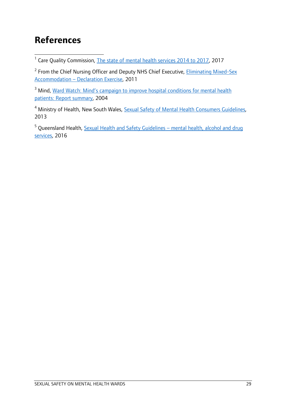### <span id="page-30-0"></span>**References**

<span id="page-30-1"></span>1 <sup>1</sup> Care Quality Commission, [The state of mental health services 2014 to 2017,](https://www.cqc.org.uk/publications/major-report/state-care-mental-health-services-2014-2017) 2017

<span id="page-30-2"></span><sup>2</sup> From the Chief Nursing Officer and Deputy NHS Chief Executive, *Eliminating Mixed-Sex* [Accommodation – Declaration Exercise,](https://www.gov.uk/government/uploads/system/uploads/attachment_data/file/215773/dh_124233.pdf) 2011

<span id="page-30-3"></span><sup>3</sup> Mind, Ward Watch: Mind's campaign to improve hospital conditions for mental health [patients: Report summary,](https://www.bl.uk/collection-items/ward-watch-minds-campaign-to-improve-hospital-conditions-for-mental-health-patients-report-summary) 2004

<span id="page-30-4"></span><sup>4</sup> Ministry of Health, New South Wales, **Sexual Safety of Mental Health Consumers Guidelines**, 2013

<span id="page-30-5"></span><sup>5</sup> Queensland Health, Sexual Health and Safety Guidelines – mental health, alcohol and drug [services,](https://www.health.qld.gov.au/data/assets/pdf_file/0030/426828/qh-gdl-434.pdf) 2016